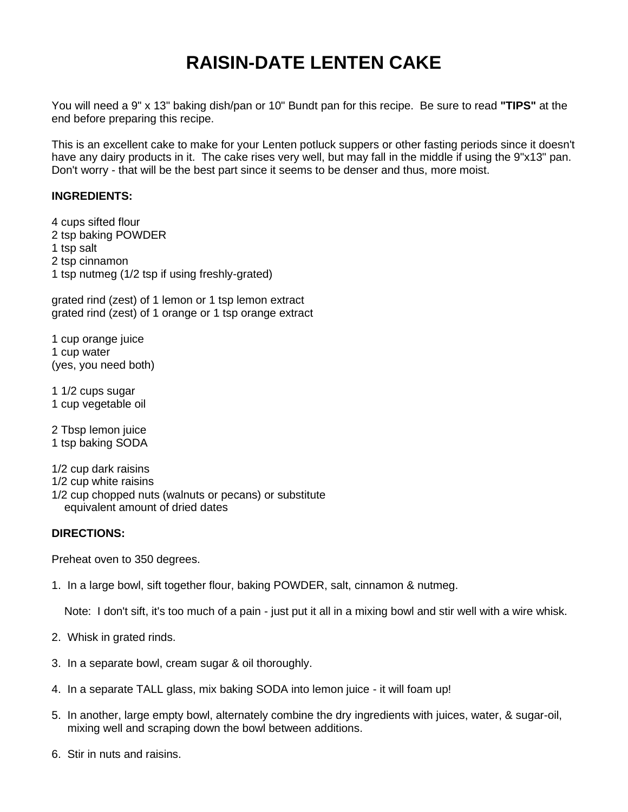# **RAISIN-DATE LENTEN CAKE**

You will need a 9" x 13" baking dish/pan or 10" Bundt pan for this recipe. Be sure to read **"TIPS"** at the end before preparing this recipe.

This is an excellent cake to make for your Lenten potluck suppers or other fasting periods since it doesn't have any dairy products in it. The cake rises very well, but may fall in the middle if using the 9"x13" pan. Don't worry - that will be the best part since it seems to be denser and thus, more moist.

### **INGREDIENTS:**

4 cups sifted flour 2 tsp baking POWDER 1 tsp salt 2 tsp cinnamon 1 tsp nutmeg (1/2 tsp if using freshly-grated)

grated rind (zest) of 1 lemon or 1 tsp lemon extract grated rind (zest) of 1 orange or 1 tsp orange extract

1 cup orange juice 1 cup water (yes, you need both)

1 1/2 cups sugar 1 cup vegetable oil

2 Tbsp lemon juice 1 tsp baking SODA

1/2 cup dark raisins 1/2 cup white raisins 1/2 cup chopped nuts (walnuts or pecans) or substitute equivalent amount of dried dates

### **DIRECTIONS:**

Preheat oven to 350 degrees.

1. In a large bowl, sift together flour, baking POWDER, salt, cinnamon & nutmeg.

Note: I don't sift, it's too much of a pain - just put it all in a mixing bowl and stir well with a wire whisk.

- 2. Whisk in grated rinds.
- 3. In a separate bowl, cream sugar & oil thoroughly.
- 4. In a separate TALL glass, mix baking SODA into lemon juice it will foam up!
- 5. In another, large empty bowl, alternately combine the dry ingredients with juices, water, & sugar-oil, mixing well and scraping down the bowl between additions.
- 6. Stir in nuts and raisins.